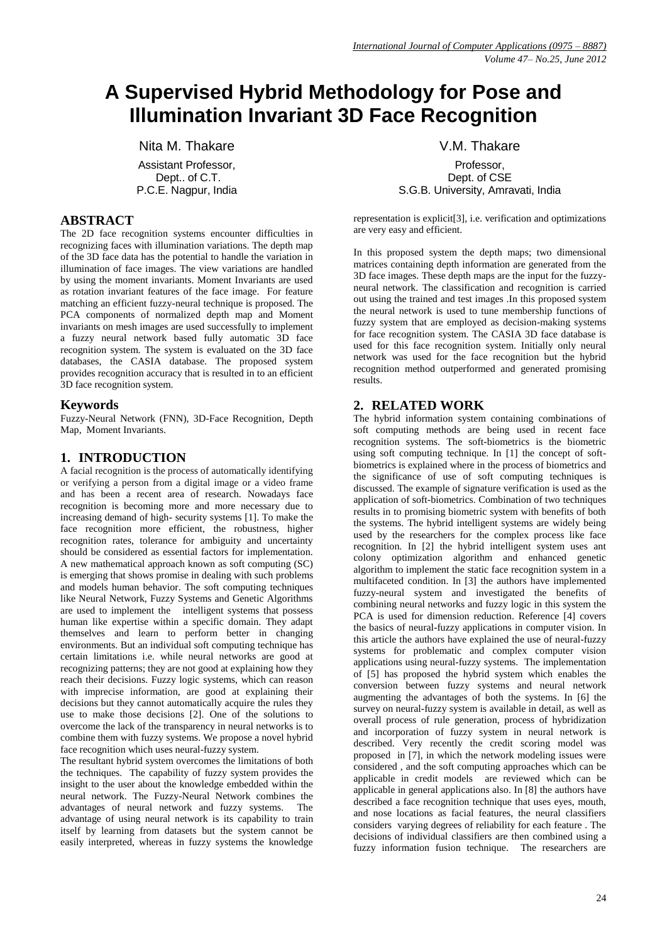# **A Supervised Hybrid Methodology for Pose and Illumination Invariant 3D Face Recognition**

Nita M. Thakare

Assistant Professor, Dept.. of C.T. P.C.E. Nagpur, India

### **ABSTRACT**

The 2D face recognition systems encounter difficulties in recognizing faces with illumination variations. The depth map of the 3D face data has the potential to handle the variation in illumination of face images. The view variations are handled by using the moment invariants. Moment Invariants are used as rotation invariant features of the face image. For feature matching an efficient fuzzy-neural technique is proposed. The PCA components of normalized depth map and Moment invariants on mesh images are used successfully to implement a fuzzy neural network based fully automatic 3D face recognition system. The system is evaluated on the 3D face databases, the CASIA database. The proposed system provides recognition accuracy that is resulted in to an efficient 3D face recognition system.

# **Keywords**

Fuzzy-Neural Network (FNN), 3D-Face Recognition, Depth Map, Moment Invariants.

#### **1. INTRODUCTION**

A facial recognition is the process of automatically identifying or verifying a person from a digital image or a video frame and has been a recent area of research. Nowadays face recognition is becoming more and more necessary due to increasing demand of high- security systems [1]. To make the face recognition more efficient, the robustness, higher recognition rates, tolerance for ambiguity and uncertainty should be considered as essential factors for implementation. A new mathematical approach known as soft computing (SC) is emerging that shows promise in dealing with such problems and models human behavior. The soft computing techniques like Neural Network, Fuzzy Systems and Genetic Algorithms are used to implement the intelligent systems that possess human like expertise within a specific domain. They adapt themselves and learn to perform better in changing environments. But an individual soft computing technique has certain limitations i.e. while neural networks are good at recognizing patterns; they are not good at explaining how they reach their decisions. Fuzzy logic systems, which can reason with imprecise information, are good at explaining their decisions but they cannot automatically acquire the rules they use to make those decisions [2]. One of the solutions to overcome the lack of the transparency in neural networks is to combine them with fuzzy systems. We propose a novel hybrid face recognition which uses neural-fuzzy system.

The resultant hybrid system overcomes the limitations of both the techniques. The capability of fuzzy system provides the insight to the user about the knowledge embedded within the neural network. The Fuzzy-Neural Network combines the advantages of neural network and fuzzy systems. The advantage of using neural network is its capability to train itself by learning from datasets but the system cannot be easily interpreted, whereas in fuzzy systems the knowledge

V.M. Thakare

Professor, Dept. of CSE S.G.B. University, Amravati, India

representation is explicit[3], i.e. verification and optimizations are very easy and efficient.

In this proposed system the depth maps; two dimensional matrices containing depth information are generated from the 3D face images. These depth maps are the input for the fuzzyneural network. The classification and recognition is carried out using the trained and test images .In this proposed system the neural network is used to tune membership functions of fuzzy system that are employed as decision-making systems for face recognition system. The CASIA 3D face database is used for this face recognition system. Initially only neural network was used for the face recognition but the hybrid recognition method outperformed and generated promising results.

# **2. RELATED WORK**

The hybrid information system containing combinations of soft computing methods are being used in recent face recognition systems. The soft-biometrics is the biometric using soft computing technique. In [1] the concept of softbiometrics is explained where in the process of biometrics and the significance of use of soft computing techniques is discussed. The example of signature verification is used as the application of soft-biometrics. Combination of two techniques results in to promising biometric system with benefits of both the systems. The hybrid intelligent systems are widely being used by the researchers for the complex process like face recognition. In [2] the hybrid intelligent system uses ant colony optimization algorithm and enhanced genetic algorithm to implement the static face recognition system in a multifaceted condition. In [3] the authors have implemented fuzzy-neural system and investigated the benefits of combining neural networks and fuzzy logic in this system the PCA is used for dimension reduction. Reference [4] covers the basics of neural-fuzzy applications in computer vision. In this article the authors have explained the use of neural-fuzzy systems for problematic and complex computer vision applications using neural-fuzzy systems. The implementation of [5] has proposed the hybrid system which enables the conversion between fuzzy systems and neural network augmenting the advantages of both the systems. In [6] the survey on neural-fuzzy system is available in detail, as well as overall process of rule generation, process of hybridization and incorporation of fuzzy system in neural network is described. Very recently the credit scoring model was proposed in [7], in which the network modeling issues were considered , and the soft computing approaches which can be applicable in credit models are reviewed which can be applicable in general applications also. In [8] the authors have described a face recognition technique that uses eyes, mouth, and nose locations as facial features, the neural classifiers considers varying degrees of reliability for each feature . The decisions of individual classifiers are then combined using a fuzzy information fusion technique. The researchers are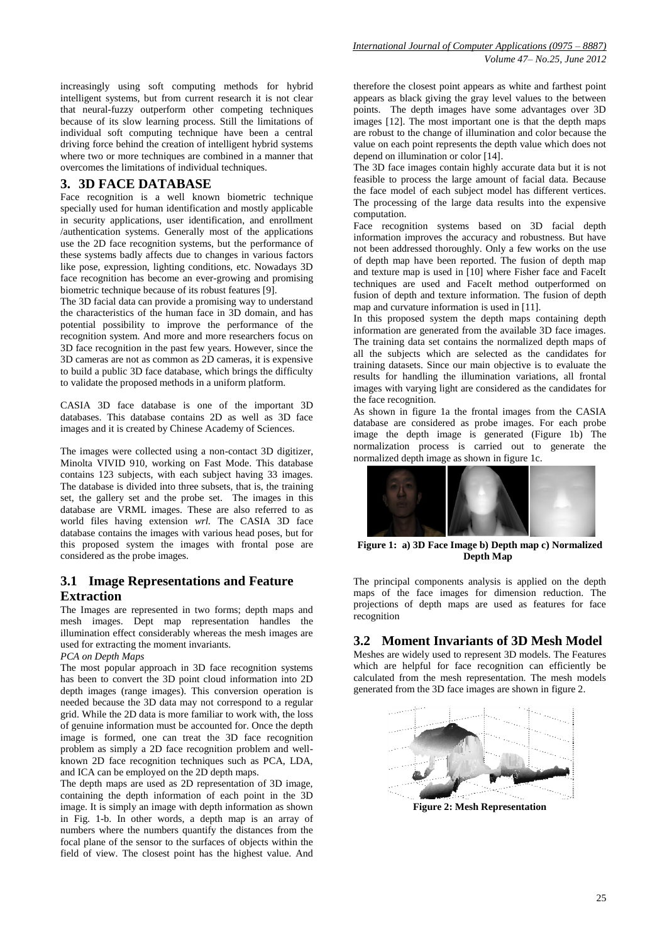increasingly using soft computing methods for hybrid intelligent systems, but from current research it is not clear that neural-fuzzy outperform other competing techniques because of its slow learning process. Still the limitations of individual soft computing technique have been a central driving force behind the creation of intelligent hybrid systems where two or more techniques are combined in a manner that overcomes the limitations of individual techniques.

### **3. 3D FACE DATABASE**

Face recognition is a well known biometric technique specially used for human identification and mostly applicable in security applications, user identification, and enrollment /authentication systems. Generally most of the applications use the 2D face recognition systems, but the performance of these systems badly affects due to changes in various factors like pose, expression, lighting conditions, etc. Nowadays 3D face recognition has become an ever-growing and promising biometric technique because of its robust features [9].

The 3D facial data can provide a promising way to understand the characteristics of the human face in 3D domain, and has potential possibility to improve the performance of the recognition system. And more and more researchers focus on 3D face recognition in the past few years. However, since the 3D cameras are not as common as 2D cameras, it is expensive to build a public 3D face database, which brings the difficulty to validate the proposed methods in a uniform platform.

CASIA 3D face database is one of the important 3D databases. This database contains 2D as well as 3D face images and it is created by Chinese Academy of Sciences.

The images were collected using a non-contact 3D digitizer, Minolta VIVID 910, working on Fast Mode. This database contains 123 subjects, with each subject having 33 images. The database is divided into three subsets, that is, the training set, the gallery set and the probe set. The images in this database are VRML images. These are also referred to as world files having extension *wrl.* The CASIA 3D face database contains the images with various head poses, but for this proposed system the images with frontal pose are considered as the probe images.

# **3.1 Image Representations and Feature Extraction**

The Images are represented in two forms; depth maps and mesh images. Dept map representation handles the illumination effect considerably whereas the mesh images are used for extracting the moment invariants.

#### *PCA on Depth Maps*

The most popular approach in 3D face recognition systems has been to convert the 3D point cloud information into 2D depth images (range images). This conversion operation is needed because the 3D data may not correspond to a regular grid. While the 2D data is more familiar to work with, the loss of genuine information must be accounted for. Once the depth image is formed, one can treat the 3D face recognition problem as simply a 2D face recognition problem and wellknown 2D face recognition techniques such as PCA, LDA, and ICA can be employed on the 2D depth maps.

The depth maps are used as 2D representation of 3D image, containing the depth information of each point in the 3D image. It is simply an image with depth information as shown in Fig. 1-b. In other words, a depth map is an array of numbers where the numbers quantify the distances from the focal plane of the sensor to the surfaces of objects within the field of view. The closest point has the highest value. And therefore the closest point appears as white and farthest point appears as black giving the gray level values to the between points. The depth images have some advantages over 3D images [12]. The most important one is that the depth maps are robust to the change of illumination and color because the value on each point represents the depth value which does not depend on illumination or color [14].

The 3D face images contain highly accurate data but it is not feasible to process the large amount of facial data. Because the face model of each subject model has different vertices. The processing of the large data results into the expensive computation.

Face recognition systems based on 3D facial depth information improves the accuracy and robustness. But have not been addressed thoroughly. Only a few works on the use of depth map have been reported. The fusion of depth map and texture map is used in [10] where Fisher face and FaceIt techniques are used and FaceIt method outperformed on fusion of depth and texture information. The fusion of depth map and curvature information is used in [11].

In this proposed system the depth maps containing depth information are generated from the available 3D face images. The training data set contains the normalized depth maps of all the subjects which are selected as the candidates for training datasets. Since our main objective is to evaluate the results for handling the illumination variations, all frontal images with varying light are considered as the candidates for the face recognition.

As shown in figure 1a the frontal images from the CASIA database are considered as probe images. For each probe image the depth image is generated (Figure 1b) The normalization process is carried out to generate the normalized depth image as shown in figure 1c.



**Figure 1: a) 3D Face Image b) Depth map c) Normalized Depth Map**

The principal components analysis is applied on the depth maps of the face images for dimension reduction. The projections of depth maps are used as features for face recognition

# **3.2 Moment Invariants of 3D Mesh Model**

Meshes are widely used to represent 3D models. The Features which are helpful for face recognition can efficiently be calculated from the mesh representation. The mesh models generated from the 3D face images are shown in figure 2.



**Figure 2: Mesh Representation**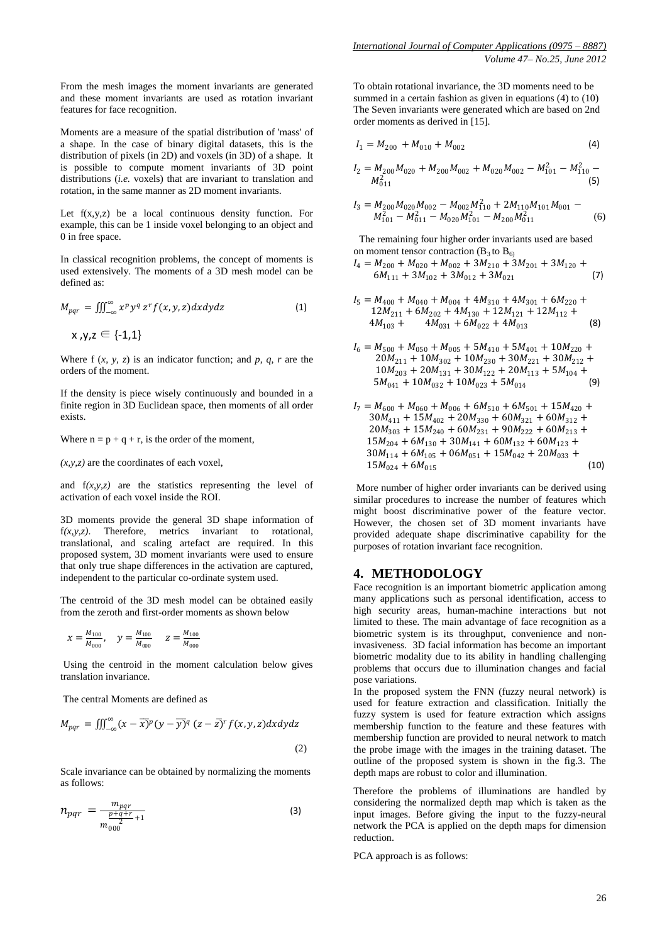From the mesh images the moment invariants are generated and these moment invariants are used as rotation invariant features for face recognition.

Moments are a measure of the spatial distribution of 'mass' of a shape. In the case of binary digital datasets, this is the distribution of pixels (in 2D) and voxels (in 3D) of a shape. It is possible to compute moment invariants of 3D point distributions (*i.e.* voxels) that are invariant to translation and rotation, in the same manner as 2D moment invariants.

Let  $f(x,y,z)$  be a local continuous density function. For example, this can be 1 inside voxel belonging to an object and 0 in free space.

In classical recognition problems, the concept of moments is used extensively. The moments of a 3D mesh model can be defined as:

$$
M_{pqr} = \iiint_{-\infty}^{\infty} x^p y^q z^r f(x, y, z) dx dy dz \tag{1}
$$

$$
x,y,z\in\{ \text{-}1,1\}
$$

Where f  $(x, y, z)$  is an indicator function; and p, q, r are the orders of the moment.

If the density is piece wisely continuously and bounded in a finite region in 3D Euclidean space, then moments of all order exists.

Where  $n = p + q + r$ , is the order of the moment,

 $(x, y, z)$  are the coordinates of each voxel,

and  $f(x, y, z)$  are the statistics representing the level of activation of each voxel inside the ROI.

3D moments provide the general 3D shape information of f*(x,y,z)*. Therefore, metrics invariant to rotational, translational, and scaling artefact are required. In this proposed system, 3D moment invariants were used to ensure that only true shape differences in the activation are captured, independent to the particular co-ordinate system used.

The centroid of the 3D mesh model can be obtained easily from the zeroth and first-order moments as shown below

$$
x = \frac{M_{100}}{M_{000}}, \quad y = \frac{M_{100}}{M_{000}} \quad z = \frac{M_{100}}{M_{000}}
$$

Using the centroid in the moment calculation below gives translation invariance.

The central Moments are defined as

$$
M_{pqr} = \iiint_{-\infty}^{\infty} (x - \overline{x})^p (y - \overline{y})^q (z - \overline{z})^r f(x, y, z) dx dy dz
$$
\n(2)

Scale invariance can be obtained by normalizing the moments as follows:

$$
n_{pqr} = \frac{m_{pqr}}{\frac{p+q+r}{m_{000}}+1}
$$
 (3)

To obtain rotational invariance, the 3D moments need to be summed in a certain fashion as given in equations (4) to (10) The Seven invariants were generated which are based on 2nd order moments as derived in [15].

$$
I_1 = M_{200} + M_{010} + M_{002}
$$
 (4)

$$
I_2 = M_{200}M_{020} + M_{200}M_{002} + M_{020}M_{002} - M_{101}^2 - M_{110}^2 - M_{011}^2
$$
\n(5)

$$
I_3 = M_{200}M_{020}M_{002} - M_{002}M_{110}^2 + 2M_{110}M_{101}M_{001} - M_{101}^2 - M_{011}^2 - M_{020}M_{011}^2 - M_{200}M_{011}^2
$$
 (6)

 The remaining four higher order invariants used are based on moment tensor contraction ( $B_3$  to  $B_6$ )

$$
\begin{aligned} I_4 &= M_{200} + M_{020} + M_{002} + 3M_{210} + 3M_{201} + 3M_{120} + \\ & 6M_{111} + 3M_{102} + 3M_{012} + 3M_{021} \end{aligned} \tag{7}
$$

$$
I_5 = M_{400} + M_{040} + M_{004} + 4M_{310} + 4M_{301} + 6M_{220} + 12M_{211} + 6M_{202} + 4M_{130} + 12M_{121} + 12M_{112} + 4M_{103} + 4M_{031} + 6M_{022} + 4M_{013}
$$
 (8)

$$
I_6 = M_{500} + M_{050} + M_{005} + 5M_{410} + 5M_{401} + 10M_{220} + 20M_{211} + 10M_{302} + 10M_{230} + 30M_{221} + 30M_{212} + 10M_{203} + 20M_{131} + 30M_{122} + 20M_{113} + 5M_{104} + 5M_{041} + 10M_{032} + 10M_{023} + 5M_{014}
$$
\n(9)

$$
I_7 = M_{600} + M_{060} + M_{006} + 6M_{510} + 6M_{501} + 15M_{420} + 30M_{411} + 15M_{402} + 20M_{330} + 60M_{321} + 60M_{312} + 20M_{303} + 15M_{240} + 60M_{231} + 90M_{222} + 60M_{213} + 15M_{204} + 6M_{130} + 30M_{141} + 60M_{132} + 60M_{123} + 30M_{114} + 6M_{105} + 06M_{051} + 15M_{042} + 20M_{033} + 15M_{024} + 6M_{015}
$$
\n
$$
(10)
$$

More number of higher order invariants can be derived using similar procedures to increase the number of features which might boost discriminative power of the feature vector. However, the chosen set of 3D moment invariants have provided adequate shape discriminative capability for the purposes of rotation invariant face recognition.

#### **4. METHODOLOGY**

Face recognition is an important biometric application among many applications such as personal identification, access to high security areas, human-machine interactions but not limited to these. The main advantage of face recognition as a biometric system is its throughput, convenience and noninvasiveness. 3D facial information has become an important biometric modality due to its ability in handling challenging problems that occurs due to illumination changes and facial pose variations.

In the proposed system the FNN (fuzzy neural network) is used for feature extraction and classification. Initially the fuzzy system is used for feature extraction which assigns membership function to the feature and these features with membership function are provided to neural network to match the probe image with the images in the training dataset. The outline of the proposed system is shown in the fig.3. The depth maps are robust to color and illumination.

Therefore the problems of illuminations are handled by considering the normalized depth map which is taken as the input images. Before giving the input to the fuzzy-neural network the PCA is applied on the depth maps for dimension reduction.

PCA approach is as follows: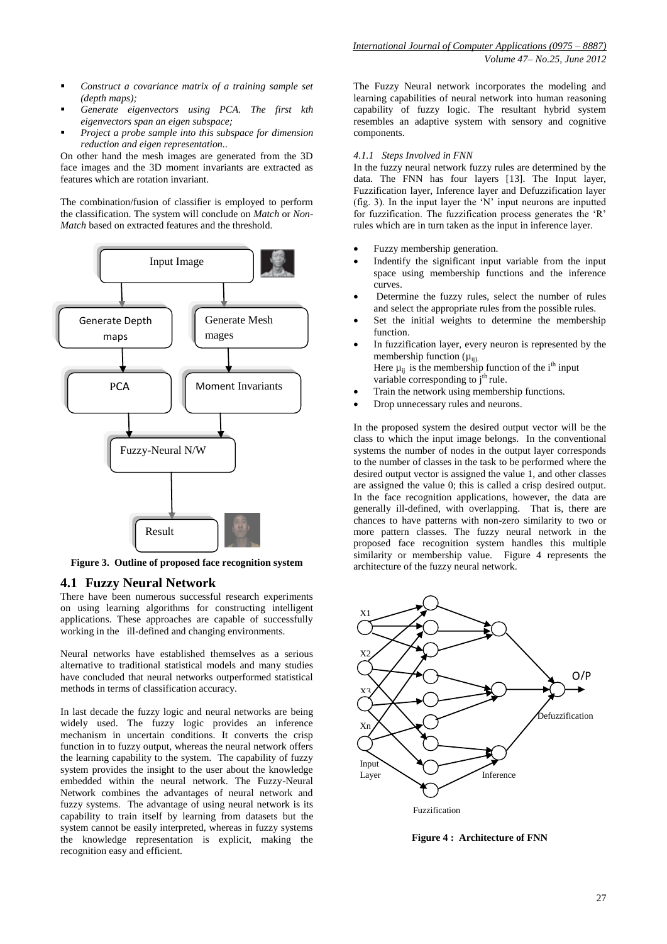- *Construct a covariance matrix of a training sample set (depth maps);*
- *Generate eigenvectors using PCA. The first kth eigenvectors span an eigen subspace;*
- *Project a probe sample into this subspace for dimension reduction and eigen representation..*

On other hand the mesh images are generated from the 3D face images and the 3D moment invariants are extracted as features which are rotation invariant.

The combination/fusion of classifier is employed to perform the classification. The system will conclude on *Match* or *Non-Match* based on extracted features and the threshold.



**Figure 3. Outline of proposed face recognition system**

#### **4.1 Fuzzy Neural Network**

There have been numerous successful research experiments on using learning algorithms for constructing intelligent applications. These approaches are capable of successfully working in the ill-defined and changing environments.

Neural networks have established themselves as a serious alternative to traditional statistical models and many studies have concluded that neural networks outperformed statistical methods in terms of classification accuracy.

In last decade the fuzzy logic and neural networks are being widely used. The fuzzy logic provides an inference mechanism in uncertain conditions. It converts the crisp function in to fuzzy output, whereas the neural network offers the learning capability to the system. The capability of fuzzy system provides the insight to the user about the knowledge embedded within the neural network. The Fuzzy-Neural Network combines the advantages of neural network and fuzzy systems. The advantage of using neural network is its capability to train itself by learning from datasets but the system cannot be easily interpreted, whereas in fuzzy systems the knowledge representation is explicit, making the recognition easy and efficient.

The Fuzzy Neural network incorporates the modeling and learning capabilities of neural network into human reasoning capability of fuzzy logic. The resultant hybrid system resembles an adaptive system with sensory and cognitive components.

#### *4.1.1 Steps Involved in FNN*

In the fuzzy neural network fuzzy rules are determined by the data. The FNN has four layers [13]. The Input layer, Fuzzification layer, Inference layer and Defuzzification layer (fig. 3). In the input layer the "N" input neurons are inputted for fuzzification. The fuzzification process generates the 'R' rules which are in turn taken as the input in inference layer.

- Fuzzy membership generation.
- Indentify the significant input variable from the input space using membership functions and the inference curves.
- Determine the fuzzy rules, select the number of rules and select the appropriate rules from the possible rules.
- Set the initial weights to determine the membership function.
- In fuzzification layer, every neuron is represented by the membership function  $(\mu_{ii})$ . Here  $\mu_{ii}$  is the membership function of the i<sup>th</sup> input variable corresponding to  $\hat{i}^{\text{th}}$  rule.
- Train the network using membership functions.
- Drop unnecessary rules and neurons.

In the proposed system the desired output vector will be the class to which the input image belongs. In the conventional systems the number of nodes in the output layer corresponds to the number of classes in the task to be performed where the desired output vector is assigned the value 1, and other classes are assigned the value 0; this is called a crisp desired output. In the face recognition applications, however, the data are generally ill-defined, with overlapping. That is, there are chances to have patterns with non-zero similarity to two or more pattern classes. The fuzzy neural network in the proposed face recognition system handles this multiple similarity or membership value. Figure 4 represents the architecture of the fuzzy neural network.



**Figure 4 : Architecture of FNN**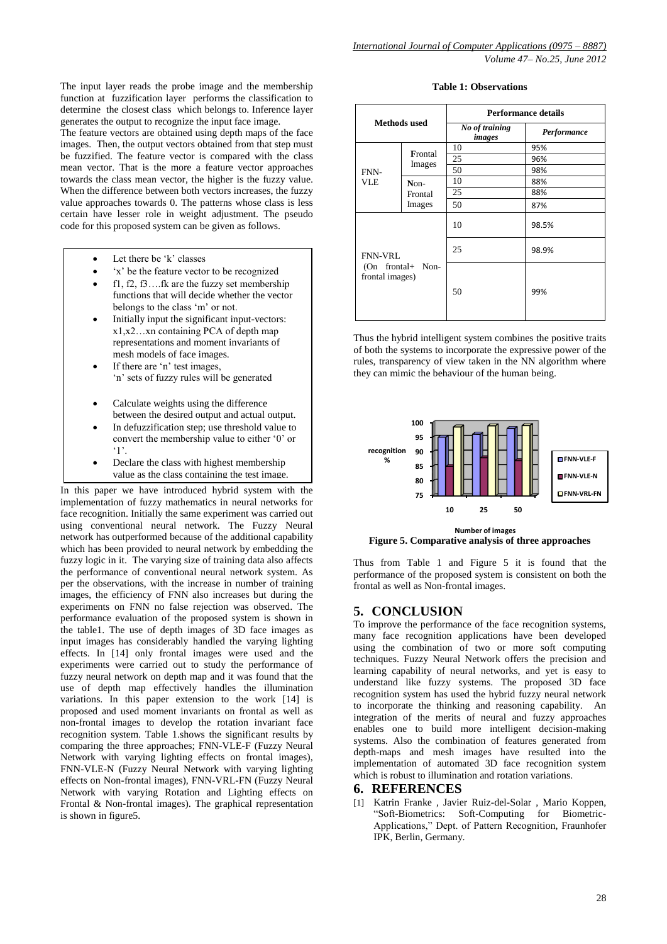The input layer reads the probe image and the membership function at fuzzification layer performs the classification to determine the closest class which belongs to. Inference layer generates the output to recognize the input face image.

The feature vectors are obtained using depth maps of the face images. Then, the output vectors obtained from that step must be fuzzified. The feature vector is compared with the class mean vector. That is the more a feature vector approaches towards the class mean vector, the higher is the fuzzy value. When the difference between both vectors increases, the fuzzy value approaches towards 0. The patterns whose class is less certain have lesser role in weight adjustment. The pseudo code for this proposed system can be given as follows.

- Let there be 'k' classes
- $\bullet$   $\alpha$  'x' be the feature vector to be recognized
- f1, f2, f3….fk are the fuzzy set membership functions that will decide whether the vector belongs to the class "m" or not.
- Initially input the significant input-vectors: x1,x2…xn containing PCA of depth map representations and moment invariants of mesh models of face images.
- If there are 'n' test images, 'n' sets of fuzzy rules will be generated
- Calculate weights using the difference between the desired output and actual output.
- In defuzzification step; use threshold value to convert the membership value to either '0' or  $\cdot$ 1'
- Declare the class with highest membership value as the class containing the test image.

In this paper we have introduced hybrid system with the implementation of fuzzy mathematics in neural networks for face recognition. Initially the same experiment was carried out using conventional neural network. The Fuzzy Neural network has outperformed because of the additional capability which has been provided to neural network by embedding the fuzzy logic in it. The varying size of training data also affects the performance of conventional neural network system. As per the observations, with the increase in number of training images, the efficiency of FNN also increases but during the experiments on FNN no false rejection was observed. The performance evaluation of the proposed system is shown in the table1. The use of depth images of 3D face images as input images has considerably handled the varying lighting effects. In [14] only frontal images were used and the experiments were carried out to study the performance of fuzzy neural network on depth map and it was found that the use of depth map effectively handles the illumination variations. In this paper extension to the work [14] is proposed and used moment invariants on frontal as well as non-frontal images to develop the rotation invariant face recognition system. Table 1.shows the significant results by comparing the three approaches; FNN-VLE-F (Fuzzy Neural Network with varying lighting effects on frontal images), FNN-VLE-N (Fuzzy Neural Network with varying lighting effects on Non-frontal images), FNN-VRL-FN (Fuzzy Neural Network with varying Rotation and Lighting effects on Frontal & Non-frontal images). The graphical representation is shown in figure5.

**Table 1: Observations**

| Methods used                                       |                           | <b>Performance details</b> |                    |
|----------------------------------------------------|---------------------------|----------------------------|--------------------|
|                                                    |                           | No of training<br>images   | <b>Performance</b> |
| FNN-<br>VLE                                        | Frontal<br>Images         | 10                         | 95%                |
|                                                    |                           | 25                         | 96%                |
|                                                    |                           | 50                         | 98%                |
|                                                    | Non-<br>Frontal<br>Images | 10                         | 88%                |
|                                                    |                           | 25                         | 88%                |
|                                                    |                           | 50                         | 87%                |
| FNN-VRL<br>$(On$ frontal + Non-<br>frontal images) |                           | 10                         | 98.5%              |
|                                                    |                           | 25                         | 98.9%              |
|                                                    |                           | 50                         | 99%                |

Thus the hybrid intelligent system combines the positive traits of both the systems to incorporate the expressive power of the rules, transparency of view taken in the NN algorithm where they can mimic the behaviour of the human being.



**Number of images Figure 5. Comparative analysis of three approaches**

Thus from Table 1 and Figure 5 it is found that the performance of the proposed system is consistent on both the frontal as well as Non-frontal images.

#### **5. CONCLUSION**

To improve the performance of the face recognition systems, many face recognition applications have been developed using the combination of two or more soft computing techniques. Fuzzy Neural Network offers the precision and learning capability of neural networks, and yet is easy to understand like fuzzy systems. The proposed 3D face recognition system has used the hybrid fuzzy neural network to incorporate the thinking and reasoning capability. An integration of the merits of neural and fuzzy approaches enables one to build more intelligent decision-making systems. Also the combination of features generated from depth-maps and mesh images have resulted into the implementation of automated 3D face recognition system which is robust to illumination and rotation variations.

#### **6. REFERENCES**

[1] Katrin Franke , Javier Ruiz-del-Solar , Mario Koppen, "Soft-Biometrics: Soft-Computing for Biometric-Applications," Dept. of Pattern Recognition, Fraunhofer IPK, Berlin, Germany.